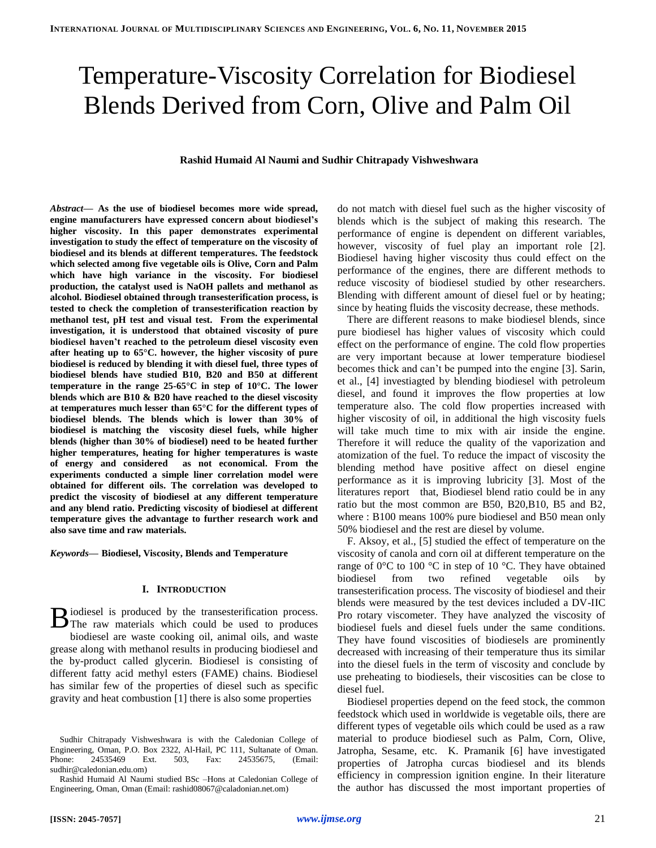# Temperature-Viscosity Correlation for Biodiesel Blends Derived from Corn, Olive and Palm Oil

## **Rashid Humaid Al Naumi and Sudhir Chitrapady Vishweshwara**

*Abstract***— As the use of biodiesel becomes more wide spread, engine manufacturers have expressed concern about biodiesel's higher viscosity. In this paper demonstrates experimental investigation to study the effect of temperature on the viscosity of biodiesel and its blends at different temperatures. The feedstock which selected among five vegetable oils is Olive, Corn and Palm which have high variance in the viscosity. For biodiesel production, the catalyst used is NaOH pallets and methanol as alcohol. Biodiesel obtained through transesterification process, is tested to check the completion of transesterification reaction by methanol test, pH test and visual test. From the experimental investigation, it is understood that obtained viscosity of pure biodiesel haven't reached to the petroleum diesel viscosity even after heating up to 65°C. however, the higher viscosity of pure biodiesel is reduced by blending it with diesel fuel, three types of biodiesel blends have studied B10, B20 and B50 at different temperature in the range 25-65°C in step of 10°C. The lower blends which are B10 & B20 have reached to the diesel viscosity at temperatures much lesser than 65°C for the different types of biodiesel blends. The blends which is lower than 30% of biodiesel is matching the viscosity diesel fuels, while higher blends (higher than 30% of biodiesel) need to be heated further higher temperatures, heating for higher temperatures is waste of energy and considered as not economical. From the experiments conducted a simple liner correlation model were obtained for different oils. The correlation was developed to predict the viscosity of biodiesel at any different temperature and any blend ratio. Predicting viscosity of biodiesel at different temperature gives the advantage to further research work and also save time and raw materials.**

*Keywords***— Biodiesel, Viscosity, Blends and Temperature**

## **I. INTRODUCTION**

iodiesel is produced by the transesterification process. B iodiesel is produced by the transesterification process.<br>The raw materials which could be used to produces biodiesel are waste cooking oil, animal oils, and waste grease along with methanol results in producing biodiesel and the by-product called glycerin. Biodiesel is consisting of different fatty acid methyl esters (FAME) chains. Biodiesel has similar few of the properties of diesel such as specific gravity and heat combustion [\[1\]](#page-6-0) there is also some properties

do not match with diesel fuel such as the higher viscosity of blends which is the subject of making this research. The performance of engine is dependent on different variables, however, viscosity of fuel play an important role [\[2\]](#page-6-1). Biodiesel having higher viscosity thus could effect on the performance of the engines, there are different methods to reduce viscosity of biodiesel studied by other researchers. Blending with different amount of diesel fuel or by heating; since by heating fluids the viscosity decrease, these methods.

There are different reasons to make biodiesel blends, since pure biodiesel has higher values of viscosity which could effect on the performance of engine. The cold flow properties are very important because at lower temperature biodiesel becomes thick and can't be pumped into the engine [\[3\]](#page-6-2). Sarin, et al., [\[4\]](#page-6-3) investiagted by blending biodiesel with petroleum diesel, and found it improves the flow properties at low temperature also. The cold flow properties increased with higher viscosity of oil, in additional the high viscosity fuels will take much time to mix with air inside the engine. Therefore it will reduce the quality of the vaporization and atomization of the fuel. To reduce the impact of viscosity the blending method have positive affect on diesel engine performance as it is improving lubricity [\[3\]](#page-6-2). Most of the literatures report that, Biodiesel blend ratio could be in any ratio but the most common are B50, B20,B10, B5 and B2, where : B100 means 100% pure biodiesel and B50 mean only 50% biodiesel and the rest are diesel by volume.

F. Aksoy, et al., [\[5\]](#page-6-4) studied the effect of temperature on the viscosity of canola and corn oil at different temperature on the range of 0°C to 100 °C in step of 10 °C. They have obtained biodiesel from two refined vegetable oils by transesterification process. The viscosity of biodiesel and their blends were measured by the test devices included a DV-IIC Pro rotary viscometer. They have analyzed the viscosity of biodiesel fuels and diesel fuels under the same conditions. They have found viscosities of biodiesels are prominently decreased with increasing of their temperature thus its similar into the diesel fuels in the term of viscosity and conclude by use preheating to biodiesels, their viscosities can be close to diesel fuel.

Biodiesel properties depend on the feed stock, the common feedstock which used in worldwide is vegetable oils, there are different types of vegetable oils which could be used as a raw material to produce biodiesel such as Palm, Corn, Olive, Jatropha, Sesame, etc. K. Pramanik [\[6\]](#page-6-5) have investigated properties of Jatropha curcas biodiesel and its blends efficiency in compression ignition engine. In their literature the author has discussed the most important properties of

Sudhir Chitrapady Vishweshwara is with the Caledonian College of Engineering, Oman, P.O. Box 2322, Al-Hail, PC 111, Sultanate of Oman. Phone: 24535469 Ext. 503, Fax: 24535675, (Email: sudhir@caledonian.edu.om)

Rashid Humaid Al Naumi studied BSc –Hons at Caledonian College of Engineering, Oman, Oman (Email: rashid08067@caladonian.net.om)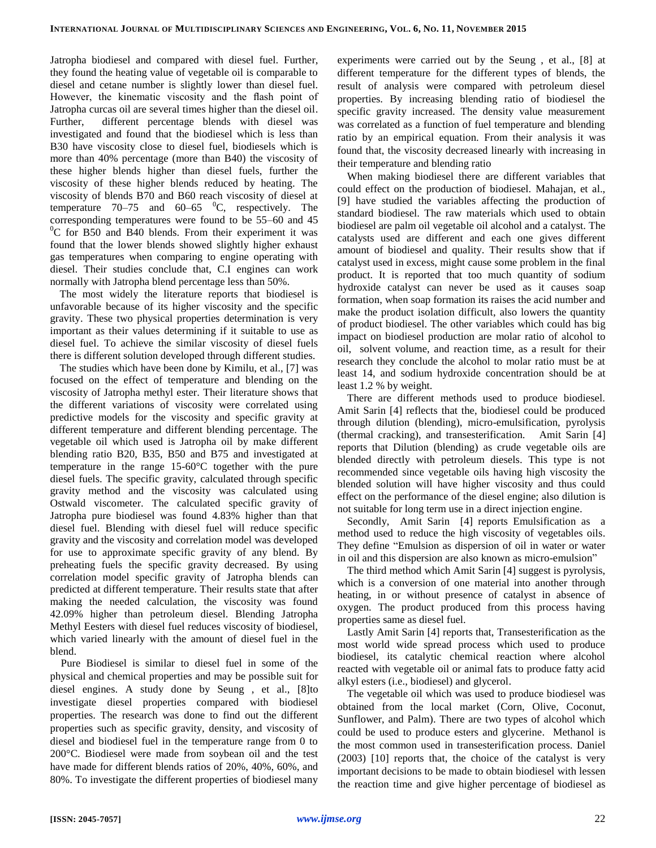Jatropha biodiesel and compared with diesel fuel. Further, they found the heating value of vegetable oil is comparable to diesel and cetane number is slightly lower than diesel fuel. However, the kinematic viscosity and the flash point of Jatropha curcas oil are several times higher than the diesel oil. Further, different percentage blends with diesel was investigated and found that the biodiesel which is less than B30 have viscosity close to diesel fuel, biodiesels which is more than 40% percentage (more than B40) the viscosity of these higher blends higher than diesel fuels, further the viscosity of these higher blends reduced by heating. The viscosity of blends B70 and B60 reach viscosity of diesel at temperature  $70-75$  and  $60-65$   $\mathrm{^0C}$ , respectively. The corresponding temperatures were found to be 55–60 and 45  $\rm{^{0}C}$  for B50 and B40 blends. From their experiment it was found that the lower blends showed slightly higher exhaust gas temperatures when comparing to engine operating with diesel. Their studies conclude that, C.I engines can work normally with Jatropha blend percentage less than 50%.

The most widely the literature reports that biodiesel is unfavorable because of its higher viscosity and the specific gravity. These two physical properties determination is very important as their values determining if it suitable to use as diesel fuel. To achieve the similar viscosity of diesel fuels there is different solution developed through different studies.

The studies which have been done by Kimilu, et al., [\[7\]](#page-6-6) was focused on the effect of temperature and blending on the viscosity of Jatropha methyl ester. Their literature shows that the different variations of viscosity were correlated using predictive models for the viscosity and specific gravity at different temperature and different blending percentage. The vegetable oil which used is Jatropha oil by make different blending ratio B20, B35, B50 and B75 and investigated at temperature in the range 15-60°C together with the pure diesel fuels. The specific gravity, calculated through specific gravity method and the viscosity was calculated using Ostwald viscometer. The calculated specific gravity of Jatropha pure biodiesel was found 4.83% higher than that diesel fuel. Blending with diesel fuel will reduce specific gravity and the viscosity and correlation model was developed for use to approximate specific gravity of any blend. By preheating fuels the specific gravity decreased. By using correlation model specific gravity of Jatropha blends can predicted at different temperature. Their results state that after making the needed calculation, the viscosity was found 42.09% higher than petroleum diesel. Blending Jatropha Methyl Eesters with diesel fuel reduces viscosity of biodiesel, which varied linearly with the amount of diesel fuel in the blend.

Pure Biodiesel is similar to diesel fuel in some of the physical and chemical properties and may be possible suit for diesel engines. A study done by Seung , et al., [\[8\]](#page-6-7)to investigate diesel properties compared with biodiesel properties. The research was done to find out the different properties such as specific gravity, density, and viscosity of diesel and biodiesel fuel in the temperature range from 0 to 200°C. Biodiesel were made from soybean oil and the test have made for different blends ratios of 20%, 40%, 60%, and 80%. To investigate the different properties of biodiesel many experiments were carried out by the Seung , et al., [\[8\]](#page-6-7) at different temperature for the different types of blends, the result of analysis were compared with petroleum diesel properties. By increasing blending ratio of biodiesel the specific gravity increased. The density value measurement was correlated as a function of fuel temperature and blending ratio by an empirical equation. From their analysis it was found that, the viscosity decreased linearly with increasing in their temperature and blending ratio

When making biodiesel there are different variables that could effect on the production of biodiesel. Mahajan, et al., [\[9\]](#page-6-8) have studied the variables affecting the production of standard biodiesel. The raw materials which used to obtain biodiesel are palm oil vegetable oil alcohol and a catalyst. The catalysts used are different and each one gives different amount of biodiesel and quality. Their results show that if catalyst used in excess, might cause some problem in the final product. It is reported that too much quantity of sodium hydroxide catalyst can never be used as it causes soap formation, when soap formation its raises the acid number and make the product isolation difficult, also lowers the quantity of product biodiesel. The other variables which could has big impact on biodiesel production are molar ratio of alcohol to oil, solvent volume, and reaction time, as a result for their research they conclude the alcohol to molar ratio must be at least 14, and sodium hydroxide concentration should be at least 1.2 % by weight.

There are different methods used to produce biodiesel. Amit Sarin [\[4\]](#page-6-3) reflects that the, biodiesel could be produced through dilution (blending), micro-emulsification, pyrolysis (thermal cracking), and transesterification. Amit Sarin [\[4\]](#page-6-3) reports that Dilution (blending) as crude vegetable oils are blended directly with petroleum diesels. This type is not recommended since vegetable oils having high viscosity the blended solution will have higher viscosity and thus could effect on the performance of the diesel engine; also dilution is not suitable for long term use in a direct injection engine.

Secondly, Amit Sarin [\[4\]](#page-6-3) reports Emulsification as a method used to reduce the high viscosity of vegetables oils. They define "Emulsion as dispersion of oil in water or water in oil and this dispersion are also known as micro-emulsion"

The third method which Amit Sarin [\[4\]](#page-6-3) suggest is pyrolysis, which is a conversion of one material into another through heating, in or without presence of catalyst in absence of oxygen. The product produced from this process having properties same as diesel fuel.

Lastly Amit Sarin [\[4\]](#page-6-3) reports that, Transesterification as the most world wide spread process which used to produce biodiesel, its catalytic chemical reaction where alcohol reacted with vegetable oil or animal fats to produce fatty acid alkyl esters (i.e., biodiesel) and glycerol.

The vegetable oil which was used to produce biodiesel was obtained from the local market (Corn, Olive, Coconut, Sunflower, and Palm). There are two types of alcohol which could be used to produce esters and glycerine. Methanol is the most common used in transesterification process. Daniel (2003) [\[10\]](#page-6-9) reports that, the choice of the catalyst is very important decisions to be made to obtain biodiesel with lessen the reaction time and give higher percentage of biodiesel as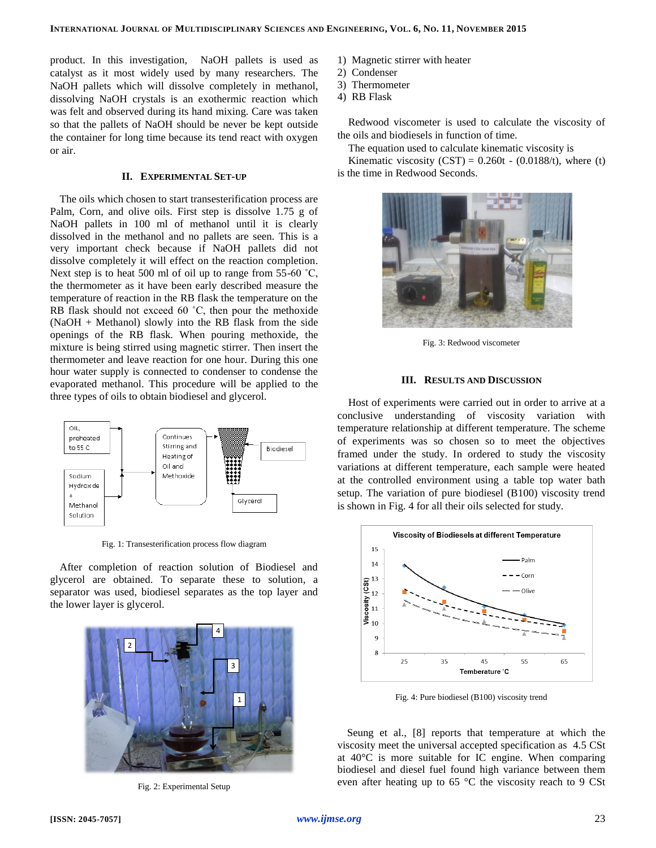product. In this investigation, NaOH pallets is used as catalyst as it most widely used by many researchers. The NaOH pallets which will dissolve completely in methanol, dissolving NaOH crystals is an exothermic reaction which was felt and observed during its hand mixing. Care was taken so that the pallets of NaOH should be never be kept outside the container for long time because its tend react with oxygen or air.

## **II. EXPERIMENTAL SET-UP**

The oils which chosen to start transesterification process are Palm, Corn, and olive oils. First step is dissolve 1.75 g of NaOH pallets in 100 ml of methanol until it is clearly dissolved in the methanol and no pallets are seen. This is a very important check because if NaOH pallets did not dissolve completely it will effect on the reaction completion. Next step is to heat 500 ml of oil up to range from  $55{\text -}60^{\degree}C$ , the thermometer as it have been early described measure the temperature of reaction in the RB flask the temperature on the RB flask should not exceed 60 ˚C, then pour the methoxide (NaOH + Methanol) slowly into the RB flask from the side openings of the RB flask. When pouring methoxide, the mixture is being stirred using magnetic stirrer. Then insert the thermometer and leave reaction for one hour. During this one hour water supply is connected to condenser to condense the evaporated methanol. This procedure will be applied to the three types of oils to obtain biodiesel and glycerol.



Fig. 1: Transesterification process flow diagram

After completion of reaction solution of Biodiesel and glycerol are obtained. To separate these to solution, a separator was used, biodiesel separates as the top layer and the lower layer is glycerol.



Fig. 2: Experimental Setup

- 1) Magnetic stirrer with heater
- 2) Condenser
- 3) Thermometer
- 4) RB Flask

Redwood viscometer is used to calculate the viscosity of the oils and biodiesels in function of time.

The equation used to calculate kinematic viscosity is

Kinematic viscosity  $(CST) = 0.260t - (0.0188/t)$ , where (t) is the time in Redwood Seconds.



Fig. 3: Redwood viscometer

## **III. RESULTS AND DISCUSSION**

Host of experiments were carried out in order to arrive at a conclusive understanding of viscosity variation with temperature relationship at different temperature. The scheme of experiments was so chosen so to meet the objectives framed under the study. In ordered to study the viscosity variations at different temperature, each sample were heated at the controlled environment using a table top water bath setup. The variation of pure biodiesel (B100) viscosity trend is shown in Fig. 4 for all their oils selected for study.



Fig. 4: Pure biodiesel (B100) viscosity trend

Seung et al., [\[8\]](#page-6-7) reports that temperature at which the viscosity meet the universal accepted specification as 4.5 CSt at 40°C is more suitable for IC engine. When comparing biodiesel and diesel fuel found high variance between them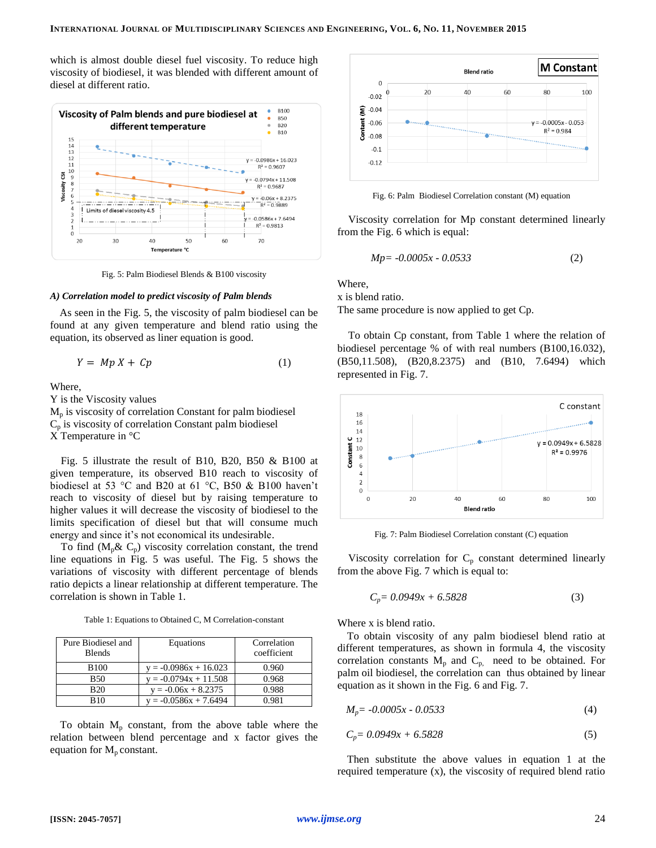which is almost double diesel fuel viscosity. To reduce high viscosity of biodiesel, it was blended with different amount of diesel at different ratio.



Fig. 5: Palm Biodiesel Blends & B100 viscosity

#### *A) Correlation model to predict viscosity of Palm blends*

As seen in the Fig. 5, the viscosity of palm biodiesel can be found at any given temperature and blend ratio using the equation, its observed as liner equation is good.

$$
Y = Mp X + Cp \tag{1}
$$

Where,

Y is the Viscosity values

 $M_p$  is viscosity of correlation Constant for palm biodiesel  $C_p$  is viscosity of correlation Constant palm biodiesel X Temperature in °C

Fig. 5 illustrate the result of B10, B20, B50 & B100 at given temperature, its observed B10 reach to viscosity of biodiesel at 53 °C and B20 at 61 °C, B50 & B100 haven't reach to viscosity of diesel but by raising temperature to higher values it will decrease the viscosity of biodiesel to the limits specification of diesel but that will consume much energy and since it's not economical its undesirable.

To find  $(M_p \& C_p)$  viscosity correlation constant, the trend line equations in Fig. 5 was useful. The Fig. 5 shows the variations of viscosity with different percentage of blends ratio depicts a linear relationship at different temperature. The correlation is shown in Table 1.

Table 1: Equations to Obtained C, M Correlation-constant

| Pure Biodiesel and<br><b>Blends</b> | Equations               | Correlation<br>coefficient |
|-------------------------------------|-------------------------|----------------------------|
| <b>B100</b>                         | $y = -0.0986x + 16.023$ | 0.960                      |
| <b>B50</b>                          | $v = -0.0794x + 11.508$ | 0.968                      |
| <b>B20</b>                          | $y = -0.06x + 8.2375$   | 0.988                      |
| <b>B10</b>                          | $y = -0.0586x + 7.6494$ | 0.981                      |

To obtain  $M_p$  constant, from the above table where the relation between blend percentage and x factor gives the equation for  $M_p$  constant.



Fig. 6: Palm Biodiesel Correlation constant (M) equation

Viscosity correlation for Mp constant determined linearly from the Fig. 6 which is equal:

$$
Mp = -0.0005x - 0.0533\tag{2}
$$

Where,

x is blend ratio.

The same procedure is now applied to get Cp.

To obtain Cp constant, from Table 1 where the relation of biodiesel percentage % of with real numbers (B100,16.032), (B50,11.508), (B20,8.2375) and (B10, 7.6494) which represented in Fig. 7.



Fig. 7: Palm Biodiesel Correlation constant (C) equation

Viscosity correlation for  $C_p$  constant determined linearly from the above Fig. 7 which is equal to:

$$
C_p = 0.0949x + 6.5828\tag{3}
$$

Where x is blend ratio.

To obtain viscosity of any palm biodiesel blend ratio at different temperatures, as shown in formula 4, the viscosity correlation constants  $M_p$  and  $C_p$ , need to be obtained. For palm oil biodiesel, the correlation can thus obtained by linear equation as it shown in the Fig. 6 and Fig. 7.

$$
M_p = -0.0005x - 0.0533\tag{4}
$$

$$
C_p = 0.0949x + 6.5828\tag{5}
$$

Then substitute the above values in equation 1 at the required temperature (x), the viscosity of required blend ratio

**[ISSN: 2045-7057]** *www.ijmse.org*24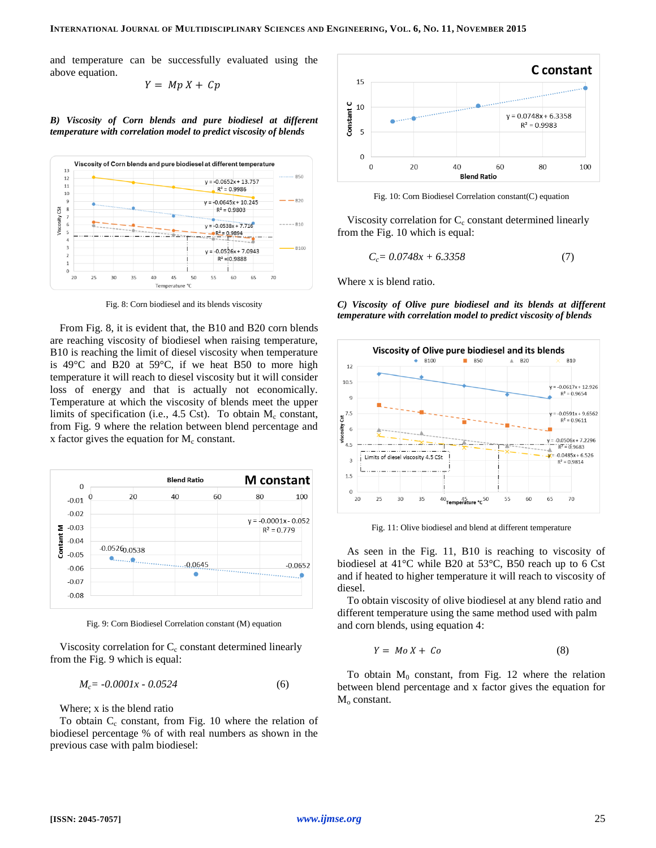and temperature can be successfully evaluated using the above equation.

$$
Y = Mp X + Cp
$$

*B) Viscosity of Corn blends and pure biodiesel at different temperature with correlation model to predict viscosity of blends*



Fig. 8: Corn biodiesel and its blends viscosity

From Fig. 8, it is evident that, the B10 and B20 corn blends are reaching viscosity of biodiesel when raising temperature, B10 is reaching the limit of diesel viscosity when temperature is 49°C and B20 at 59°C, if we heat B50 to more high temperature it will reach to diesel viscosity but it will consider loss of energy and that is actually not economically. Temperature at which the viscosity of blends meet the upper limits of specification (i.e., 4.5 Cst). To obtain  $M_c$  constant, from Fig. 9 where the relation between blend percentage and x factor gives the equation for  $M_c$  constant.



Fig. 9: Corn Biodiesel Correlation constant (M) equation

Viscosity correlation for  $C_c$  constant determined linearly from the Fig. 9 which is equal:

$$
M_c = -0.0001x - 0.0524\tag{6}
$$

Where; x is the blend ratio

To obtain  $C_c$  constant, from Fig. 10 where the relation of biodiesel percentage % of with real numbers as shown in the previous case with palm biodiesel:



Fig. 10: Corn Biodiesel Correlation constant(C) equation

Viscosity correlation for  $C_c$  constant determined linearly from the Fig. 10 which is equal:

$$
C_c = 0.0748x + 6.3358\tag{7}
$$

Where x is blend ratio.

*C) Viscosity of Olive pure biodiesel and its blends at different temperature with correlation model to predict viscosity of blends*



Fig. 11: Olive biodiesel and blend at different temperature

As seen in the Fig. 11, B10 is reaching to viscosity of biodiesel at 41°C while B20 at 53°C, B50 reach up to 6 Cst and if heated to higher temperature it will reach to viscosity of diesel.

To obtain viscosity of olive biodiesel at any blend ratio and different temperature using the same method used with palm and corn blends, using equation 4:

$$
Y = Mo X + Co \tag{8}
$$

To obtain  $M_0$  constant, from Fig. 12 where the relation between blend percentage and x factor gives the equation for  $M<sub>o</sub>$  constant.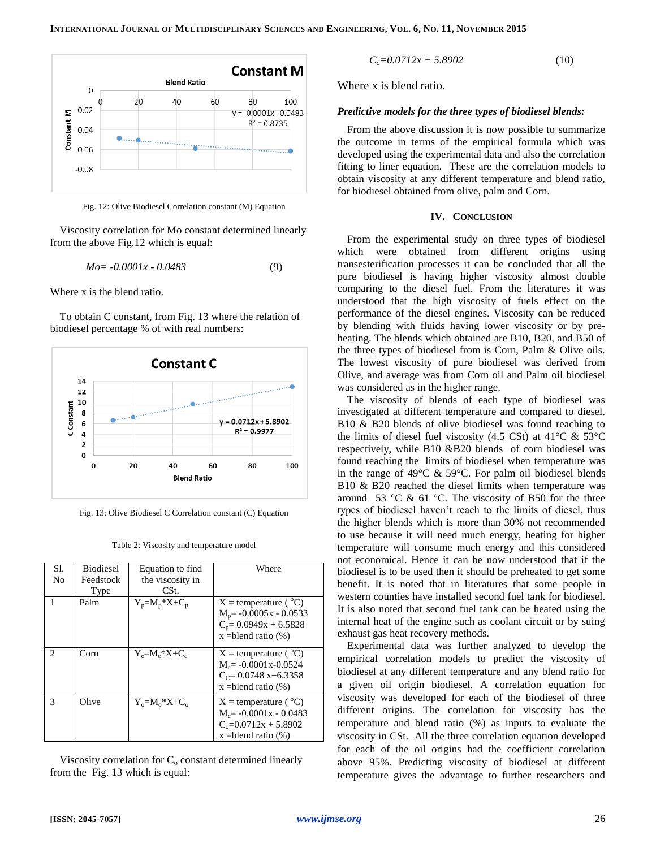

Fig. 12: Olive Biodiesel Correlation constant (M) Equation

Viscosity correlation for Mo constant determined linearly from the above Fig.12 which is equal:

$$
Mo = -0.0001x - 0.0483\tag{9}
$$

Where x is the blend ratio.

To obtain C constant, from Fig. 13 where the relation of biodiesel percentage % of with real numbers:



Fig. 13: Olive Biodiesel C Correlation constant (C) Equation

| Sl.                           | <b>Biodiesel</b> | Equation to find      | Where                             |
|-------------------------------|------------------|-----------------------|-----------------------------------|
| No                            | Feedstock        | the viscosity in      |                                   |
|                               | Type             | CSt.                  |                                   |
| 1                             | Palm             | $Y_p = M_p * X + C_p$ | $X =$ temperature ( $^{\circ}C$ ) |
|                               |                  |                       | $M_p$ = -0.0005x - 0.0533         |
|                               |                  |                       | $C_p = 0.0949x + 6.5828$          |
|                               |                  |                       | $x =$ blend ratio $(\%)$          |
|                               |                  |                       |                                   |
| $\mathfrak{D}_{\mathfrak{p}}$ | Corn             | $Y_c = M_c * X + C_c$ | $X =$ temperature ( $^{\circ}C$ ) |
|                               |                  |                       | $M_c$ = -0.0001x-0.0524           |
|                               |                  |                       | $C_c = 0.0748 x + 6.3358$         |
|                               |                  |                       | $x =$ blend ratio $(\%)$          |
| 3                             | Olive            | $Y_0 = M_0 * X + C_0$ | $X =$ temperature ( $^{\circ}C$ ) |
|                               |                  |                       | $M_c = -0.0001x - 0.0483$         |
|                               |                  |                       | $C_0 = 0.0712x + 5.8902$          |
|                               |                  |                       | $x =$ blend ratio $(\%)$          |

Table 2: Viscosity and temperature model

Viscosity correlation for  $C_0$  constant determined linearly from the Fig. 13 which is equal:

$$
C_o = 0.0712x + 5.8902\tag{10}
$$

Where x is blend ratio.

## *Predictive models for the three types of biodiesel blends:*

From the above discussion it is now possible to summarize the outcome in terms of the empirical formula which was developed using the experimental data and also the correlation fitting to liner equation. These are the correlation models to obtain viscosity at any different temperature and blend ratio, for biodiesel obtained from olive, palm and Corn.

## **IV. CONCLUSION**

From the experimental study on three types of biodiesel which were obtained from different origins using transesterification processes it can be concluded that all the pure biodiesel is having higher viscosity almost double comparing to the diesel fuel. From the literatures it was understood that the high viscosity of fuels effect on the performance of the diesel engines. Viscosity can be reduced by blending with fluids having lower viscosity or by preheating. The blends which obtained are B10, B20, and B50 of the three types of biodiesel from is Corn, Palm & Olive oils. The lowest viscosity of pure biodiesel was derived from Olive, and average was from Corn oil and Palm oil biodiesel was considered as in the higher range.

The viscosity of blends of each type of biodiesel was investigated at different temperature and compared to diesel. B10 & B20 blends of olive biodiesel was found reaching to the limits of diesel fuel viscosity (4.5 CSt) at 41 $\rm{°C}$  & 53 $\rm{°C}$ respectively, while B10 &B20 blends of corn biodiesel was found reaching the limits of biodiesel when temperature was in the range of 49°C & 59°C. For palm oil biodiesel blends B10 & B20 reached the diesel limits when temperature was around 53 °C & 61 °C. The viscosity of B50 for the three types of biodiesel haven't reach to the limits of diesel, thus the higher blends which is more than 30% not recommended to use because it will need much energy, heating for higher temperature will consume much energy and this considered not economical. Hence it can be now understood that if the biodiesel is to be used then it should be preheated to get some benefit. It is noted that in literatures that some people in western counties have installed second fuel tank for biodiesel. It is also noted that second fuel tank can be heated using the internal heat of the engine such as coolant circuit or by suing exhaust gas heat recovery methods.

Experimental data was further analyzed to develop the empirical correlation models to predict the viscosity of biodiesel at any different temperature and any blend ratio for a given oil origin biodiesel. A correlation equation for viscosity was developed for each of the biodiesel of three different origins. The correlation for viscosity has the temperature and blend ratio (%) as inputs to evaluate the viscosity in CSt. All the three correlation equation developed for each of the oil origins had the coefficient correlation above 95%. Predicting viscosity of biodiesel at different temperature gives the advantage to further researchers and